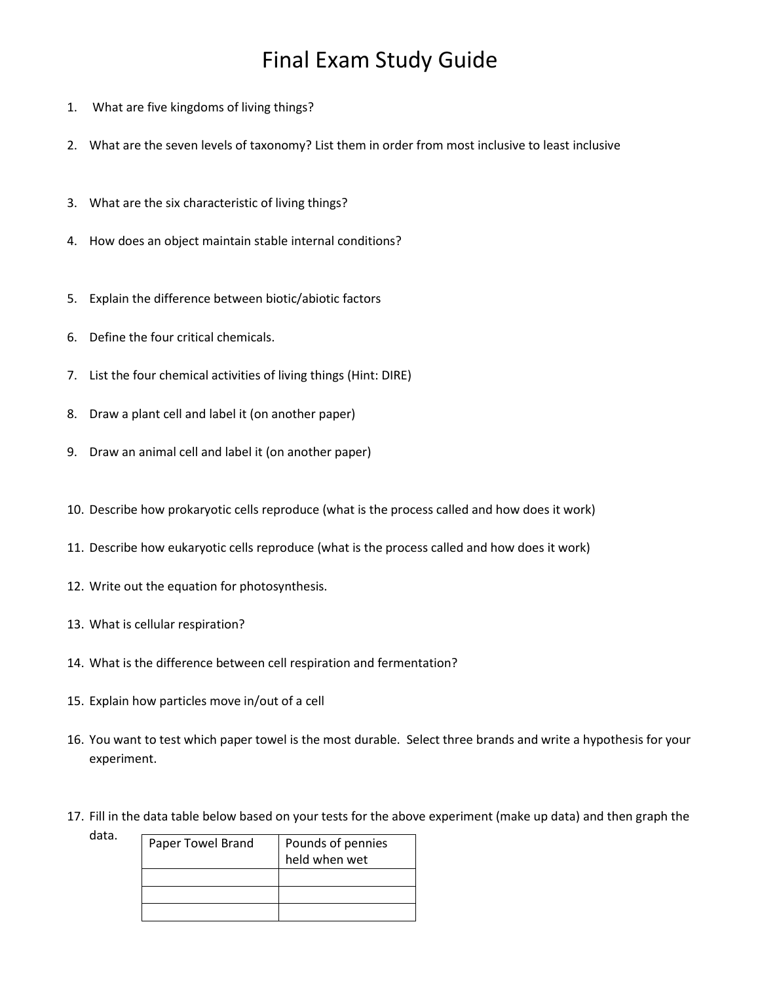## Final Exam Study Guide

- 1. What are five kingdoms of living things?
- 2. What are the seven levels of taxonomy? List them in order from most inclusive to least inclusive
- 3. What are the six characteristic of living things?
- 4. How does an object maintain stable internal conditions?
- 5. Explain the difference between biotic/abiotic factors
- 6. Define the four critical chemicals.
- 7. List the four chemical activities of living things (Hint: DIRE)
- 8. Draw a plant cell and label it (on another paper)
- 9. Draw an animal cell and label it (on another paper)
- 10. Describe how prokaryotic cells reproduce (what is the process called and how does it work)
- 11. Describe how eukaryotic cells reproduce (what is the process called and how does it work)
- 12. Write out the equation for photosynthesis.
- 13. What is cellular respiration?
- 14. What is the difference between cell respiration and fermentation?
- 15. Explain how particles move in/out of a cell
- 16. You want to test which paper towel is the most durable. Select three brands and write a hypothesis for your experiment.
- 17. Fill in the data table below based on your tests for the above experiment (make up data) and then graph the

| data. | Paper Towel Brand | Pounds of pennies |
|-------|-------------------|-------------------|
|       |                   | held when wet     |
|       |                   |                   |
|       |                   |                   |
|       |                   |                   |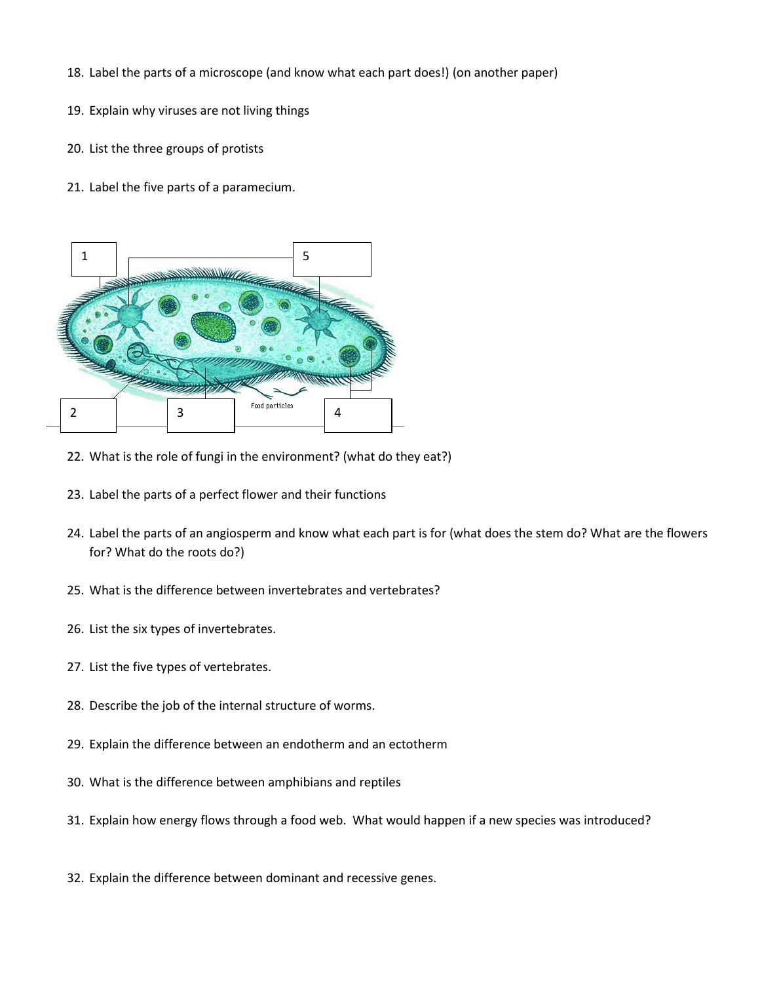- 18. Label the parts of a microscope (and know what each part does!) (on another paper)
- 19. Explain why viruses are not living things
- 20. List the three groups of protists
- 21. Label the five parts of a paramecium.



- 22. What is the role of fungi in the environment? (what do they eat?)
- 23. Label the parts of a perfect flower and their functions
- 24. Label the parts of an angiosperm and know what each part is for (what does the stem do? What are the flowers for? What do the roots do?)
- 25. What is the difference between invertebrates and vertebrates?
- 26. List the six types of invertebrates.
- 27. List the five types of vertebrates.
- 28. Describe the job of the internal structure of worms.
- 29. Explain the difference between an endotherm and an ectotherm
- 30. What is the difference between amphibians and reptiles
- 31. Explain how energy flows through a food web. What would happen if a new species was introduced?
- 32. Explain the difference between dominant and recessive genes.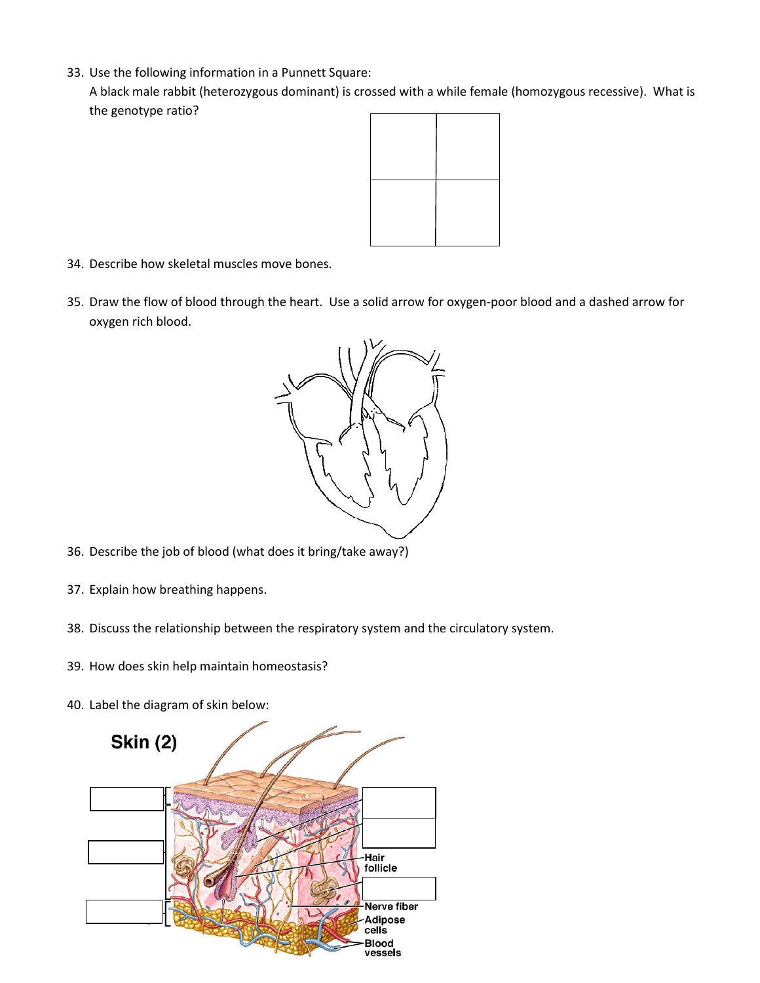33. Use the following information in a Punnett Square:

A black male rabbit (heterozygous dominant) is crossed with a while female (homozygous recessive). What is the genotype ratio?



- 34. Describe how skeletal muscles move bones.
- 35. Draw the flow of blood through the heart. Use a solid arrow for oxygen-poor blood and a dashed arrow for oxygen rich blood.



- 36. Describe the job of blood (what does it bring/take away?)
- 37. Explain how breathing happens.
- 38. Discuss the relationship between the respiratory system and the circulatory system.
- 39. How does skin help maintain homeostasis?
- 40. Label the diagram of skin below: